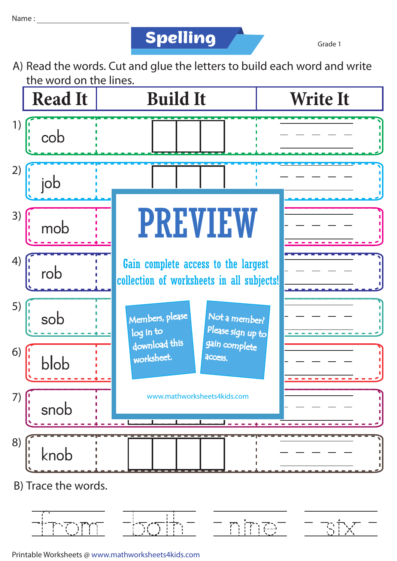

Grade 1

A) Read the words. Cut and glue the letters to build each word and write the word on the lines.



nine

Printable Worksheets @ www.mathworksheets4kids.com

 $\sum_{i=1}^{n}$ Уľ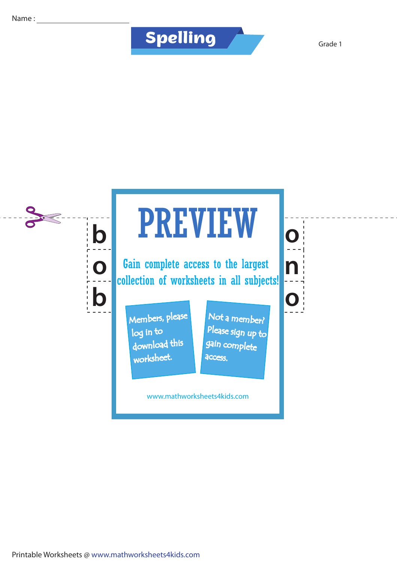## **Spelling**

Grade 1